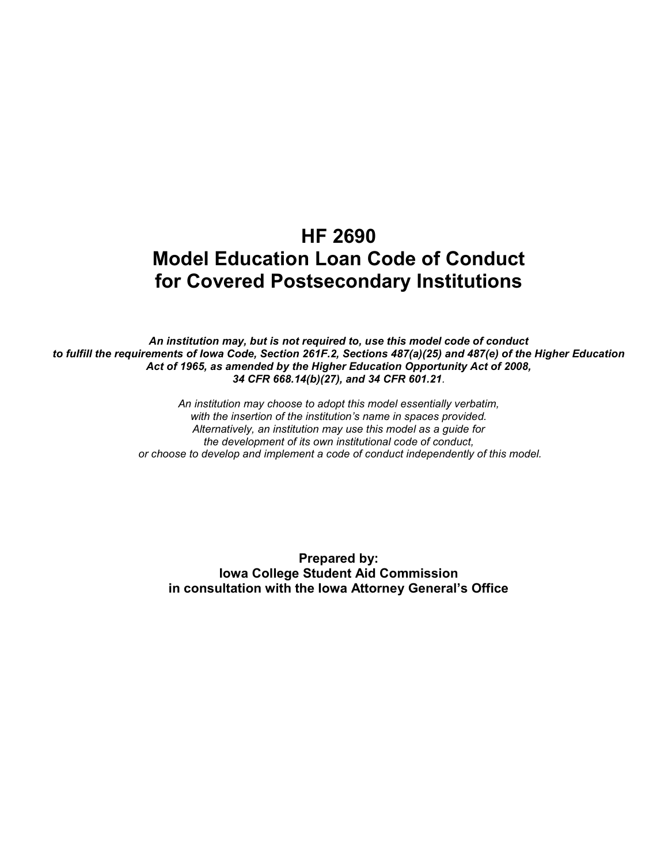# HF 2690 Model Education Loan Code of Conduct for Covered Postsecondary Institutions

An institution may, but is not required to, use this model code of conduct to fulfill the requirements of Iowa Code, Section 261F.2, Sections 487(a)(25) and 487(e) of the Higher Education Act of 1965, as amended by the Higher Education Opportunity Act of 2008, 34 CFR 668.14(b)(27), and 34 CFR 601.21.

> An institution may choose to adopt this model essentially verbatim, with the insertion of the institution's name in spaces provided. Alternatively, an institution may use this model as a guide for the development of its own institutional code of conduct, or choose to develop and implement a code of conduct independently of this model.

Prepared by: Iowa College Student Aid Commission in consultation with the Iowa Attorney General's Office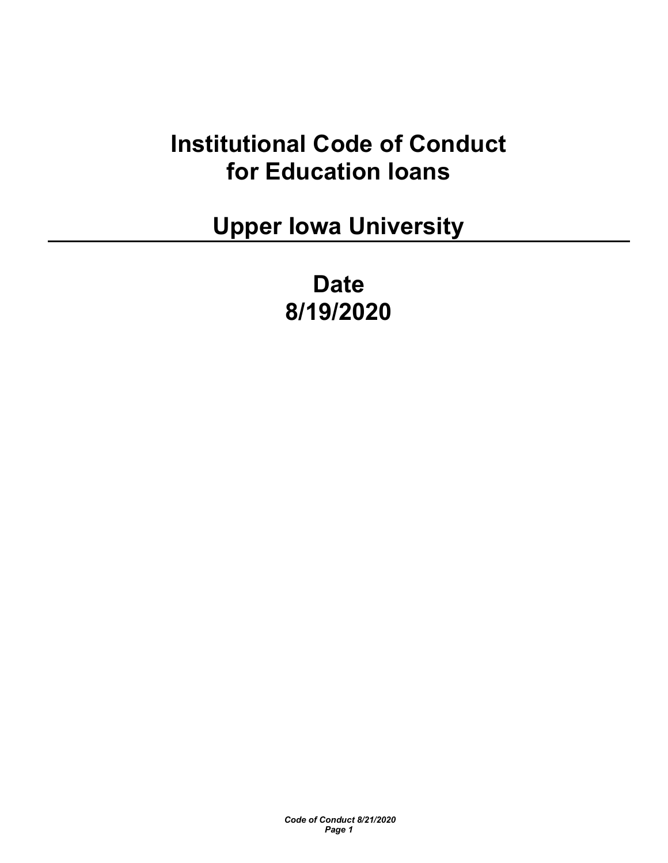# Institutional Code of Conduct for Education loans

Upper Iowa University

Date 8/19/2020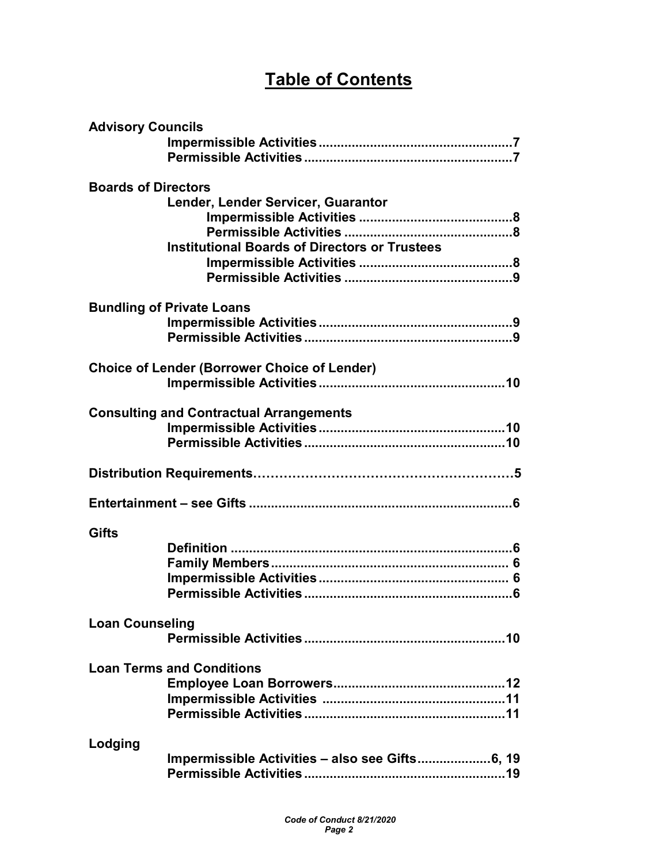# Table of Contents

|                            | <b>Advisory Councils</b>                             |  |  |  |
|----------------------------|------------------------------------------------------|--|--|--|
|                            |                                                      |  |  |  |
|                            |                                                      |  |  |  |
| <b>Boards of Directors</b> |                                                      |  |  |  |
|                            | Lender, Lender Servicer, Guarantor                   |  |  |  |
|                            |                                                      |  |  |  |
|                            |                                                      |  |  |  |
|                            | <b>Institutional Boards of Directors or Trustees</b> |  |  |  |
|                            |                                                      |  |  |  |
|                            |                                                      |  |  |  |
|                            |                                                      |  |  |  |
|                            | <b>Bundling of Private Loans</b>                     |  |  |  |
|                            |                                                      |  |  |  |
|                            |                                                      |  |  |  |
|                            | <b>Choice of Lender (Borrower Choice of Lender)</b>  |  |  |  |
|                            |                                                      |  |  |  |
|                            |                                                      |  |  |  |
|                            | <b>Consulting and Contractual Arrangements</b>       |  |  |  |
|                            |                                                      |  |  |  |
|                            |                                                      |  |  |  |
|                            |                                                      |  |  |  |
|                            |                                                      |  |  |  |
|                            |                                                      |  |  |  |
|                            |                                                      |  |  |  |
| <b>Gifts</b>               |                                                      |  |  |  |
|                            |                                                      |  |  |  |
|                            |                                                      |  |  |  |
|                            |                                                      |  |  |  |
|                            |                                                      |  |  |  |
|                            |                                                      |  |  |  |
| <b>Loan Counseling</b>     |                                                      |  |  |  |
|                            |                                                      |  |  |  |
|                            | <b>Loan Terms and Conditions</b>                     |  |  |  |
|                            |                                                      |  |  |  |
|                            |                                                      |  |  |  |
|                            |                                                      |  |  |  |
|                            |                                                      |  |  |  |
| Lodging                    |                                                      |  |  |  |
|                            |                                                      |  |  |  |
|                            |                                                      |  |  |  |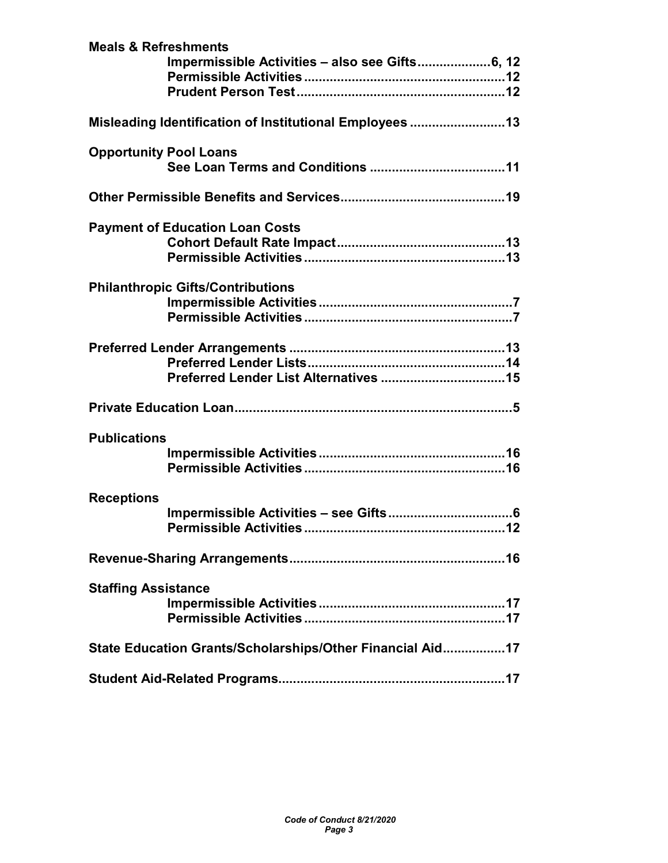| <b>Meals &amp; Refreshments</b>                           |
|-----------------------------------------------------------|
|                                                           |
|                                                           |
|                                                           |
| Misleading Identification of Institutional Employees 13   |
| <b>Opportunity Pool Loans</b>                             |
|                                                           |
|                                                           |
| <b>Payment of Education Loan Costs</b>                    |
|                                                           |
|                                                           |
| <b>Philanthropic Gifts/Contributions</b>                  |
|                                                           |
|                                                           |
|                                                           |
|                                                           |
|                                                           |
|                                                           |
| <b>Publications</b>                                       |
|                                                           |
|                                                           |
| <b>Receptions</b>                                         |
|                                                           |
|                                                           |
|                                                           |
| <b>Staffing Assistance</b>                                |
|                                                           |
|                                                           |
| State Education Grants/Scholarships/Other Financial Aid17 |
|                                                           |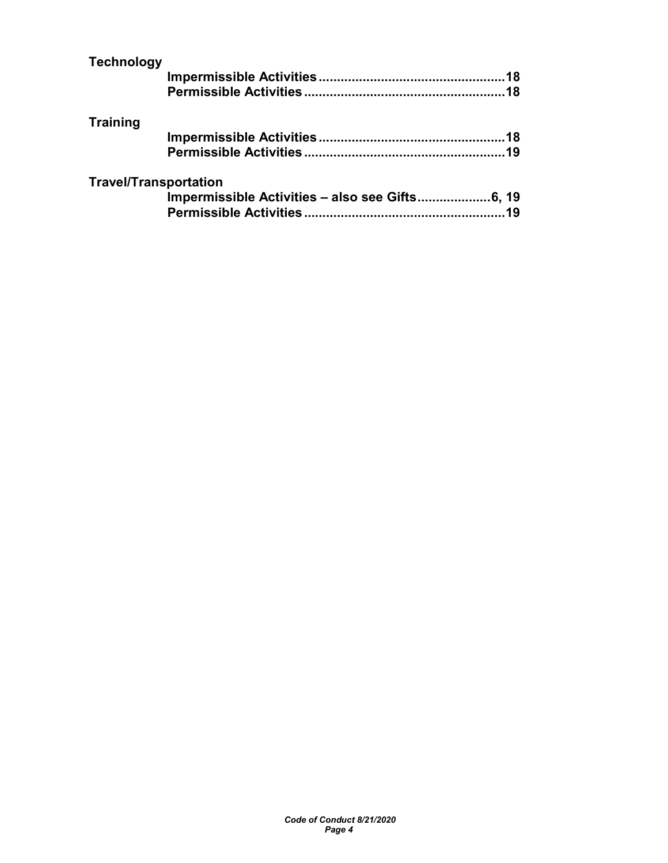| <b>Technology</b>            |    |
|------------------------------|----|
|                              |    |
|                              |    |
| <b>Training</b>              |    |
|                              |    |
|                              |    |
| <b>Travel/Transportation</b> |    |
|                              |    |
|                              | 19 |
|                              |    |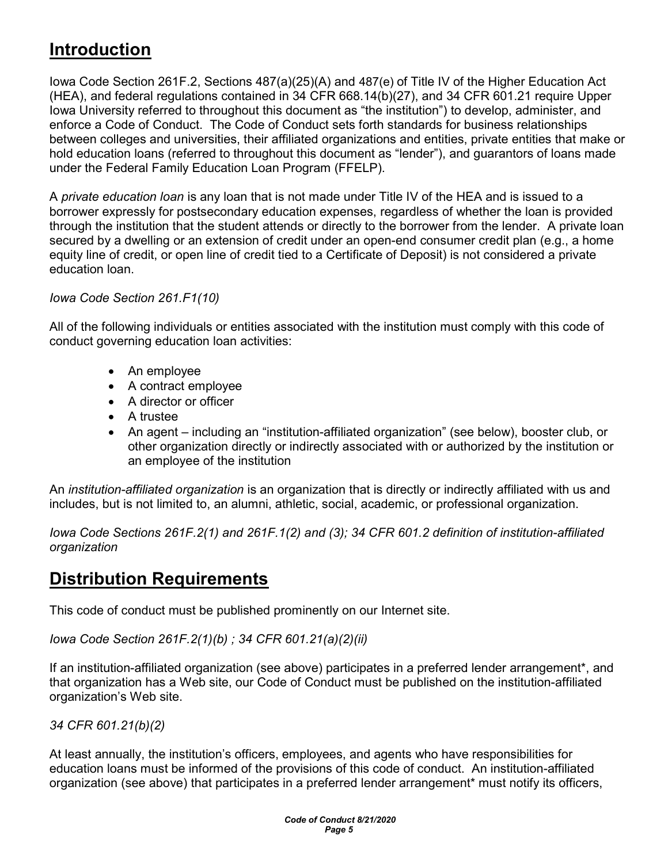# Introduction

Iowa Code Section 261F.2, Sections 487(a)(25)(A) and 487(e) of Title IV of the Higher Education Act (HEA), and federal regulations contained in 34 CFR 668.14(b)(27), and 34 CFR 601.21 require Upper Iowa University referred to throughout this document as "the institution") to develop, administer, and enforce a Code of Conduct. The Code of Conduct sets forth standards for business relationships between colleges and universities, their affiliated organizations and entities, private entities that make or hold education loans (referred to throughout this document as "lender"), and guarantors of loans made under the Federal Family Education Loan Program (FFELP).

A *private education loan* is any loan that is not made under Title IV of the HEA and is issued to a borrower expressly for postsecondary education expenses, regardless of whether the loan is provided through the institution that the student attends or directly to the borrower from the lender. A private loan secured by a dwelling or an extension of credit under an open-end consumer credit plan (e.g., a home equity line of credit, or open line of credit tied to a Certificate of Deposit) is not considered a private education loan.

### Iowa Code Section 261.F1(10)

All of the following individuals or entities associated with the institution must comply with this code of conduct governing education loan activities:

- An employee
- A contract employee
- A director or officer
- A trustee
- An agent including an "institution-affiliated organization" (see below), booster club, or other organization directly or indirectly associated with or authorized by the institution or an employee of the institution

An *institution-affiliated organization* is an organization that is directly or indirectly affiliated with us and includes, but is not limited to, an alumni, athletic, social, academic, or professional organization.

Iowa Code Sections 261F.2(1) and 261F.1(2) and (3); 34 CFR 601.2 definition of institution-affiliated organization

# Distribution Requirements

This code of conduct must be published prominently on our Internet site.

Iowa Code Section 261F.2(1)(b) ; 34 CFR 601.21(a)(2)(ii)

If an institution-affiliated organization (see above) participates in a preferred lender arrangement\*, and that organization has a Web site, our Code of Conduct must be published on the institution-affiliated organization's Web site.

34 CFR 601.21(b)(2)

At least annually, the institution's officers, employees, and agents who have responsibilities for education loans must be informed of the provisions of this code of conduct. An institution-affiliated organization (see above) that participates in a preferred lender arrangement\* must notify its officers,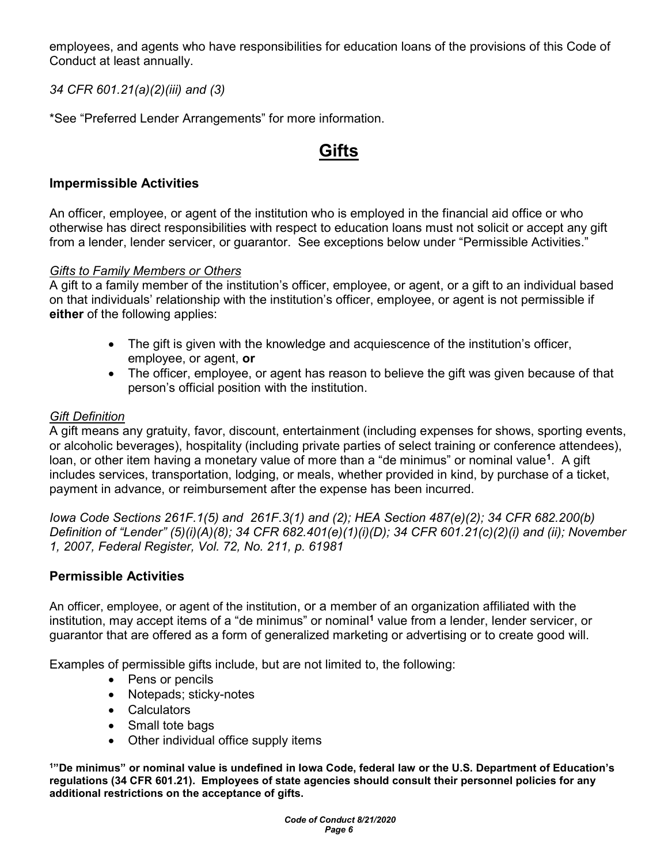employees, and agents who have responsibilities for education loans of the provisions of this Code of Conduct at least annually.

34 CFR 601.21(a)(2)(iii) and (3)

\*See "Preferred Lender Arrangements" for more information.

# Gifts

### Impermissible Activities

An officer, employee, or agent of the institution who is employed in the financial aid office or who otherwise has direct responsibilities with respect to education loans must not solicit or accept any gift from a lender, lender servicer, or guarantor. See exceptions below under "Permissible Activities."

#### Gifts to Family Members or Others

A gift to a family member of the institution's officer, employee, or agent, or a gift to an individual based on that individuals' relationship with the institution's officer, employee, or agent is not permissible if either of the following applies:

- The gift is given with the knowledge and acquiescence of the institution's officer, employee, or agent, or
- The officer, employee, or agent has reason to believe the gift was given because of that person's official position with the institution.

### Gift Definition

A gift means any gratuity, favor, discount, entertainment (including expenses for shows, sporting events, or alcoholic beverages), hospitality (including private parties of select training or conference attendees), loan, or other item having a monetary value of more than a "de minimus" or nominal value<sup>1</sup>. A gift includes services, transportation, lodging, or meals, whether provided in kind, by purchase of a ticket, payment in advance, or reimbursement after the expense has been incurred.

Iowa Code Sections 261F.1(5) and 261F.3(1) and (2); HEA Section 487(e)(2); 34 CFR 682.200(b) Definition of "Lender" (5)(i)(A)(8); 34 CFR 682.401(e)(1)(i)(D); 34 CFR 601.21(c)(2)(i) and (ii); November 1, 2007, Federal Register, Vol. 72, No. 211, p. 61981

### Permissible Activities

An officer, employee, or agent of the institution, or a member of an organization affiliated with the institution, may accept items of a "de minimus" or nominal<sup>1</sup> value from a lender, lender servicer, or guarantor that are offered as a form of generalized marketing or advertising or to create good will.

Examples of permissible gifts include, but are not limited to, the following:

- Pens or pencils
- Notepads; sticky-notes
- Calculators
- Small tote bags
- Other individual office supply items

<sup>1</sup>"De minimus" or nominal value is undefined in Iowa Code, federal law or the U.S. Department of Education's regulations (34 CFR 601.21). Employees of state agencies should consult their personnel policies for any additional restrictions on the acceptance of gifts.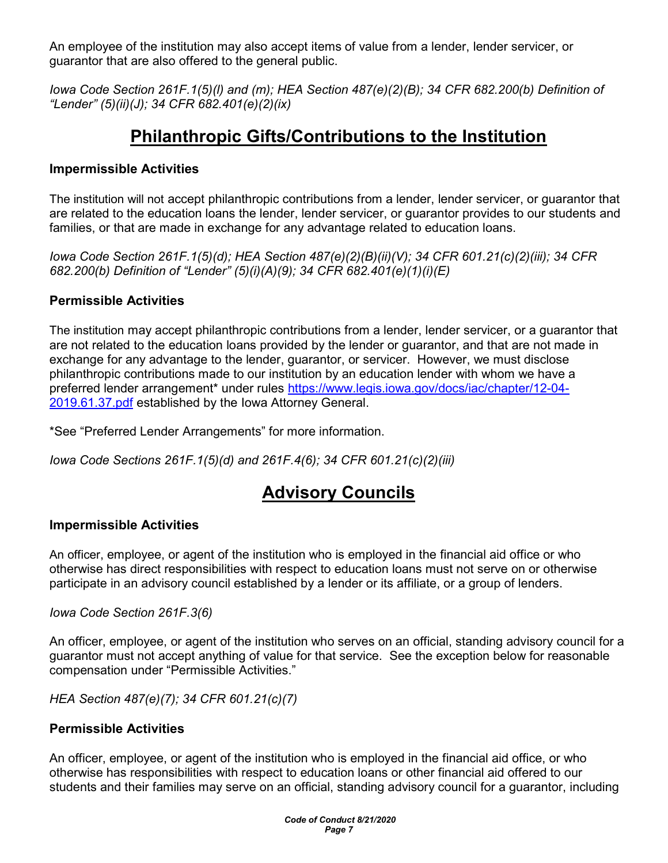An employee of the institution may also accept items of value from a lender, lender servicer, or guarantor that are also offered to the general public.

Iowa Code Section 261F.1(5)(l) and (m); HEA Section 487(e)(2)(B); 34 CFR 682.200(b) Definition of "Lender" (5)(ii)(J); 34 CFR 682.401(e)(2)(ix)

# Philanthropic Gifts/Contributions to the Institution

### Impermissible Activities

The institution will not accept philanthropic contributions from a lender, lender servicer, or guarantor that are related to the education loans the lender, lender servicer, or guarantor provides to our students and families, or that are made in exchange for any advantage related to education loans.

Iowa Code Section 261F.1(5)(d); HEA Section 487(e)(2)(B)(ii)(V); 34 CFR 601.21(c)(2)(iii); 34 CFR 682.200(b) Definition of "Lender" (5)(i)(A)(9); 34 CFR 682.401(e)(1)(i)(E)

### Permissible Activities

The institution may accept philanthropic contributions from a lender, lender servicer, or a guarantor that are not related to the education loans provided by the lender or guarantor, and that are not made in exchange for any advantage to the lender, guarantor, or servicer. However, we must disclose philanthropic contributions made to our institution by an education lender with whom we have a preferred lender arrangement\* under rules https://www.legis.iowa.gov/docs/iac/chapter/12-04- 2019.61.37.pdf established by the Iowa Attorney General.

\*See "Preferred Lender Arrangements" for more information.

Iowa Code Sections 261F.1(5)(d) and 261F.4(6); 34 CFR 601.21(c)(2)(iii)

# Advisory Councils

### Impermissible Activities

An officer, employee, or agent of the institution who is employed in the financial aid office or who otherwise has direct responsibilities with respect to education loans must not serve on or otherwise participate in an advisory council established by a lender or its affiliate, or a group of lenders.

Iowa Code Section 261F.3(6)

An officer, employee, or agent of the institution who serves on an official, standing advisory council for a guarantor must not accept anything of value for that service. See the exception below for reasonable compensation under "Permissible Activities."

HEA Section 487(e)(7); 34 CFR 601.21(c)(7)

### Permissible Activities

An officer, employee, or agent of the institution who is employed in the financial aid office, or who otherwise has responsibilities with respect to education loans or other financial aid offered to our students and their families may serve on an official, standing advisory council for a guarantor, including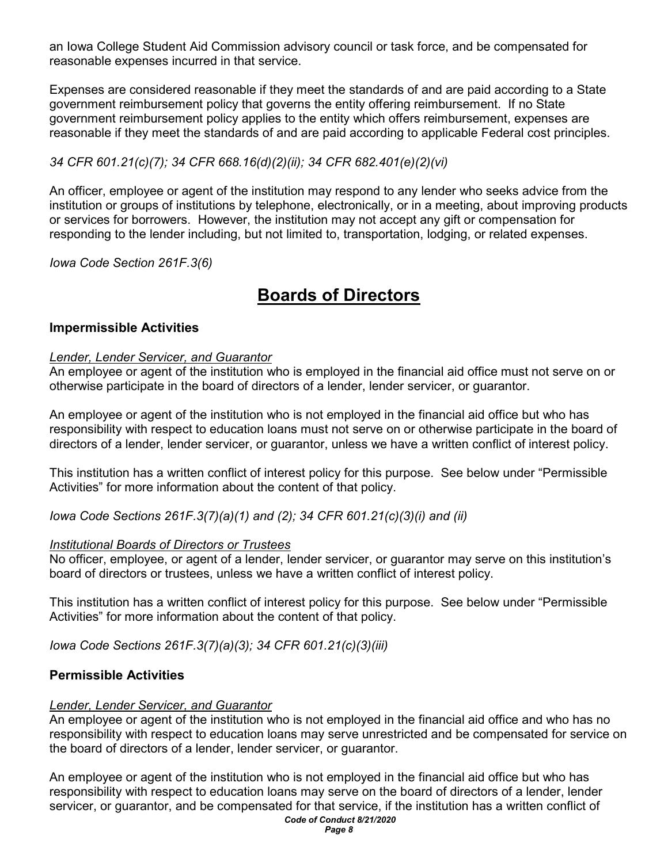an Iowa College Student Aid Commission advisory council or task force, and be compensated for reasonable expenses incurred in that service.

Expenses are considered reasonable if they meet the standards of and are paid according to a State government reimbursement policy that governs the entity offering reimbursement. If no State government reimbursement policy applies to the entity which offers reimbursement, expenses are reasonable if they meet the standards of and are paid according to applicable Federal cost principles.

#### 34 CFR 601.21(c)(7); 34 CFR 668.16(d)(2)(ii); 34 CFR 682.401(e)(2)(vi)

An officer, employee or agent of the institution may respond to any lender who seeks advice from the institution or groups of institutions by telephone, electronically, or in a meeting, about improving products or services for borrowers. However, the institution may not accept any gift or compensation for responding to the lender including, but not limited to, transportation, lodging, or related expenses.

Iowa Code Section 261F.3(6)

# Boards of Directors

#### Impermissible Activities

#### Lender, Lender Servicer, and Guarantor

An employee or agent of the institution who is employed in the financial aid office must not serve on or otherwise participate in the board of directors of a lender, lender servicer, or guarantor.

An employee or agent of the institution who is not employed in the financial aid office but who has responsibility with respect to education loans must not serve on or otherwise participate in the board of directors of a lender, lender servicer, or guarantor, unless we have a written conflict of interest policy.

This institution has a written conflict of interest policy for this purpose. See below under "Permissible Activities" for more information about the content of that policy.

Iowa Code Sections 261F.3(7)(a)(1) and (2); 34 CFR 601.21(c)(3)(i) and (ii)

#### **Institutional Boards of Directors or Trustees**

No officer, employee, or agent of a lender, lender servicer, or guarantor may serve on this institution's board of directors or trustees, unless we have a written conflict of interest policy.

This institution has a written conflict of interest policy for this purpose. See below under "Permissible Activities" for more information about the content of that policy.

Iowa Code Sections 261F.3(7)(a)(3); 34 CFR 601.21(c)(3)(iii)

#### Permissible Activities

#### Lender, Lender Servicer, and Guarantor

An employee or agent of the institution who is not employed in the financial aid office and who has no responsibility with respect to education loans may serve unrestricted and be compensated for service on the board of directors of a lender, lender servicer, or guarantor.

 Code of Conduct 8/21/2020 An employee or agent of the institution who is not employed in the financial aid office but who has responsibility with respect to education loans may serve on the board of directors of a lender, lender servicer, or guarantor, and be compensated for that service, if the institution has a written conflict of

Page 8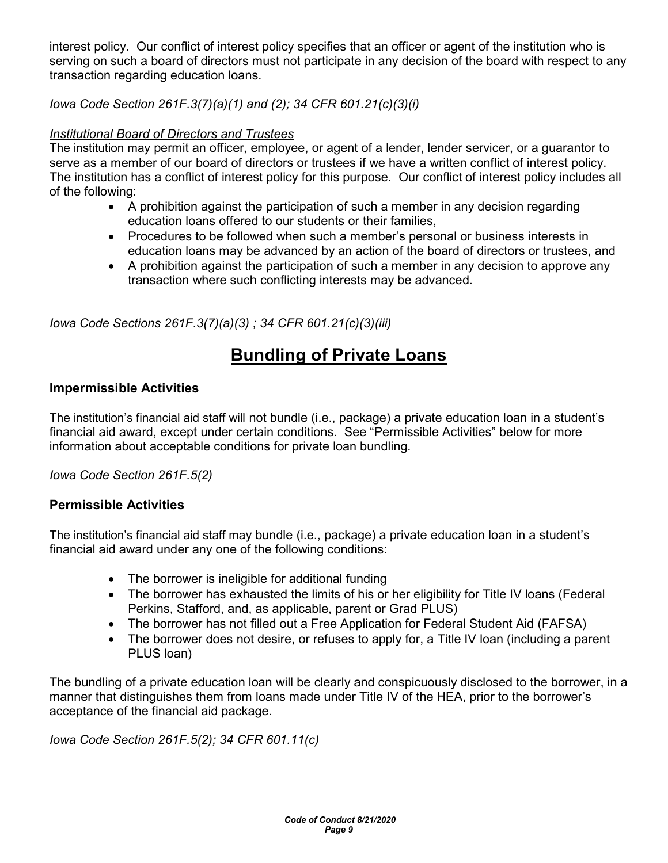interest policy. Our conflict of interest policy specifies that an officer or agent of the institution who is serving on such a board of directors must not participate in any decision of the board with respect to any transaction regarding education loans.

Iowa Code Section 261F.3(7)(a)(1) and (2); 34 CFR 601.21(c)(3)(i)

### Institutional Board of Directors and Trustees

The institution may permit an officer, employee, or agent of a lender, lender servicer, or a guarantor to serve as a member of our board of directors or trustees if we have a written conflict of interest policy. The institution has a conflict of interest policy for this purpose. Our conflict of interest policy includes all of the following:

- A prohibition against the participation of such a member in any decision regarding education loans offered to our students or their families,
- Procedures to be followed when such a member's personal or business interests in education loans may be advanced by an action of the board of directors or trustees, and
- A prohibition against the participation of such a member in any decision to approve any transaction where such conflicting interests may be advanced.

Iowa Code Sections 261F.3(7)(a)(3) ; 34 CFR 601.21(c)(3)(iii)

# Bundling of Private Loans

### Impermissible Activities

The institution's financial aid staff will not bundle (i.e., package) a private education loan in a student's financial aid award, except under certain conditions. See "Permissible Activities" below for more information about acceptable conditions for private loan bundling.

Iowa Code Section 261F.5(2)

### Permissible Activities

The institution's financial aid staff may bundle (i.e., package) a private education loan in a student's financial aid award under any one of the following conditions:

- The borrower is ineligible for additional funding
- The borrower has exhausted the limits of his or her eligibility for Title IV loans (Federal Perkins, Stafford, and, as applicable, parent or Grad PLUS)
- The borrower has not filled out a Free Application for Federal Student Aid (FAFSA)
- The borrower does not desire, or refuses to apply for, a Title IV loan (including a parent PLUS loan)

The bundling of a private education loan will be clearly and conspicuously disclosed to the borrower, in a manner that distinguishes them from loans made under Title IV of the HEA, prior to the borrower's acceptance of the financial aid package.

Iowa Code Section 261F.5(2); 34 CFR 601.11(c)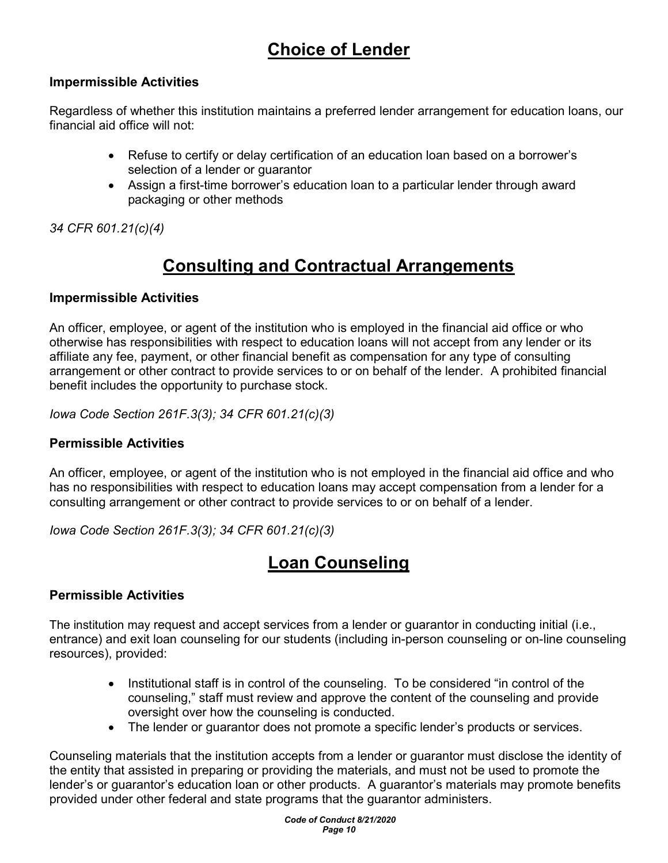# Choice of Lender

### Impermissible Activities

Regardless of whether this institution maintains a preferred lender arrangement for education loans, our financial aid office will not:

- Refuse to certify or delay certification of an education loan based on a borrower's selection of a lender or guarantor
- Assign a first-time borrower's education loan to a particular lender through award packaging or other methods

34 CFR 601.21(c)(4)

# Consulting and Contractual Arrangements

### Impermissible Activities

An officer, employee, or agent of the institution who is employed in the financial aid office or who otherwise has responsibilities with respect to education loans will not accept from any lender or its affiliate any fee, payment, or other financial benefit as compensation for any type of consulting arrangement or other contract to provide services to or on behalf of the lender. A prohibited financial benefit includes the opportunity to purchase stock.

Iowa Code Section 261F.3(3); 34 CFR 601.21(c)(3)

### Permissible Activities

An officer, employee, or agent of the institution who is not employed in the financial aid office and who has no responsibilities with respect to education loans may accept compensation from a lender for a consulting arrangement or other contract to provide services to or on behalf of a lender.

Iowa Code Section 261F.3(3); 34 CFR 601.21(c)(3)

# Loan Counseling

## Permissible Activities

The institution may request and accept services from a lender or guarantor in conducting initial (i.e., entrance) and exit loan counseling for our students (including in-person counseling or on-line counseling resources), provided:

- Institutional staff is in control of the counseling. To be considered "in control of the counseling," staff must review and approve the content of the counseling and provide oversight over how the counseling is conducted.
- The lender or guarantor does not promote a specific lender's products or services.

Counseling materials that the institution accepts from a lender or guarantor must disclose the identity of the entity that assisted in preparing or providing the materials, and must not be used to promote the lender's or guarantor's education loan or other products. A guarantor's materials may promote benefits provided under other federal and state programs that the guarantor administers.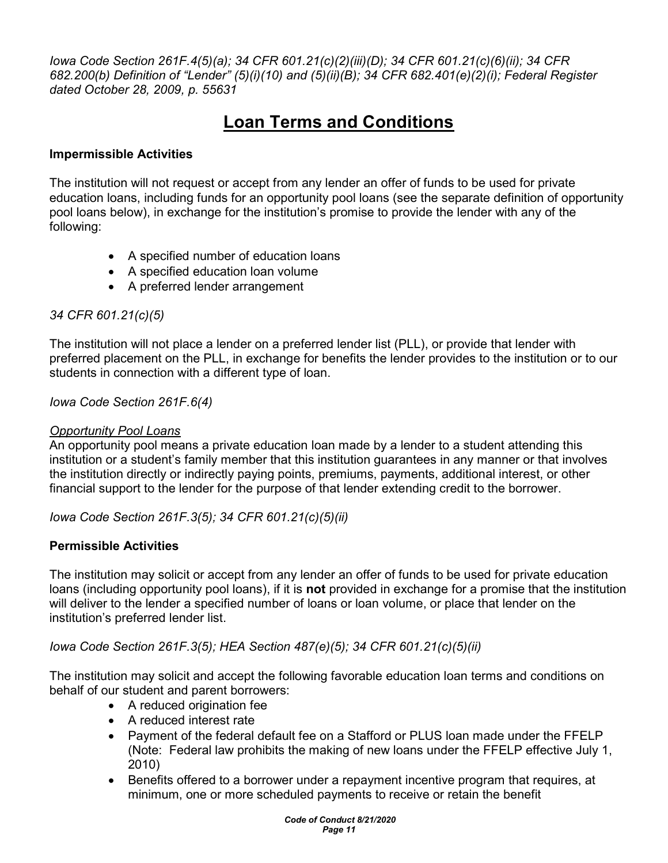Iowa Code Section 261F.4(5)(a); 34 CFR 601.21(c)(2)(iii)(D); 34 CFR 601.21(c)(6)(ii); 34 CFR 682.200(b) Definition of "Lender" (5)(i)(10) and (5)(ii)(B); 34 CFR 682.401(e)(2)(i); Federal Register dated October 28, 2009, p. 55631

# Loan Terms and Conditions

### Impermissible Activities

The institution will not request or accept from any lender an offer of funds to be used for private education loans, including funds for an opportunity pool loans (see the separate definition of opportunity pool loans below), in exchange for the institution's promise to provide the lender with any of the following:

- A specified number of education loans
- A specified education loan volume
- A preferred lender arrangement

### 34 CFR 601.21(c)(5)

The institution will not place a lender on a preferred lender list (PLL), or provide that lender with preferred placement on the PLL, in exchange for benefits the lender provides to the institution or to our students in connection with a different type of loan.

Iowa Code Section 261F.6(4)

### **Opportunity Pool Loans**

An opportunity pool means a private education loan made by a lender to a student attending this institution or a student's family member that this institution guarantees in any manner or that involves the institution directly or indirectly paying points, premiums, payments, additional interest, or other financial support to the lender for the purpose of that lender extending credit to the borrower.

Iowa Code Section 261F.3(5); 34 CFR 601.21(c)(5)(ii)

### Permissible Activities

The institution may solicit or accept from any lender an offer of funds to be used for private education loans (including opportunity pool loans), if it is not provided in exchange for a promise that the institution will deliver to the lender a specified number of loans or loan volume, or place that lender on the institution's preferred lender list.

Iowa Code Section 261F.3(5); HEA Section 487(e)(5); 34 CFR 601.21(c)(5)(ii)

The institution may solicit and accept the following favorable education loan terms and conditions on behalf of our student and parent borrowers:

- A reduced origination fee
- A reduced interest rate
- Payment of the federal default fee on a Stafford or PLUS loan made under the FFELP (Note: Federal law prohibits the making of new loans under the FFELP effective July 1, 2010)
- Benefits offered to a borrower under a repayment incentive program that requires, at minimum, one or more scheduled payments to receive or retain the benefit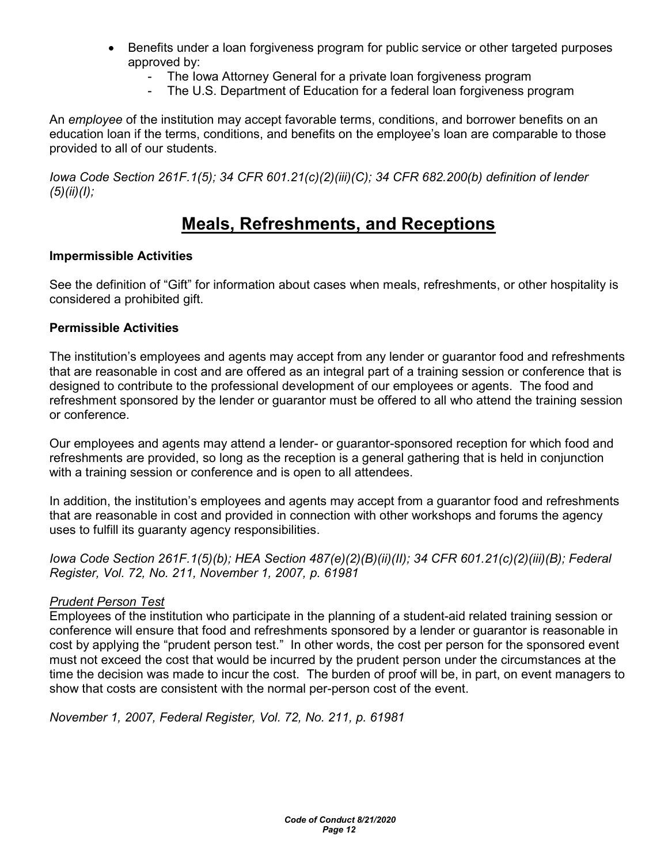- Benefits under a loan forgiveness program for public service or other targeted purposes approved by:
	- The Iowa Attorney General for a private Ioan forgiveness program
	- The U.S. Department of Education for a federal loan forgiveness program

An employee of the institution may accept favorable terms, conditions, and borrower benefits on an education loan if the terms, conditions, and benefits on the employee's loan are comparable to those provided to all of our students.

Iowa Code Section 261F.1(5); 34 CFR 601.21(c)(2)(iii)(C); 34 CFR 682.200(b) definition of lender  $(5)(ii)(I);$ 

# Meals, Refreshments, and Receptions

### Impermissible Activities

See the definition of "Gift" for information about cases when meals, refreshments, or other hospitality is considered a prohibited gift.

#### Permissible Activities

The institution's employees and agents may accept from any lender or guarantor food and refreshments that are reasonable in cost and are offered as an integral part of a training session or conference that is designed to contribute to the professional development of our employees or agents. The food and refreshment sponsored by the lender or guarantor must be offered to all who attend the training session or conference.

Our employees and agents may attend a lender- or guarantor-sponsored reception for which food and refreshments are provided, so long as the reception is a general gathering that is held in conjunction with a training session or conference and is open to all attendees.

In addition, the institution's employees and agents may accept from a guarantor food and refreshments that are reasonable in cost and provided in connection with other workshops and forums the agency uses to fulfill its guaranty agency responsibilities.

Iowa Code Section 261F.1(5)(b); HEA Section 487(e)(2)(B)(ii)(II); 34 CFR 601.21(c)(2)(iii)(B); Federal Register, Vol. 72, No. 211, November 1, 2007, p. 61981

### Prudent Person Test

Employees of the institution who participate in the planning of a student-aid related training session or conference will ensure that food and refreshments sponsored by a lender or guarantor is reasonable in cost by applying the "prudent person test." In other words, the cost per person for the sponsored event must not exceed the cost that would be incurred by the prudent person under the circumstances at the time the decision was made to incur the cost. The burden of proof will be, in part, on event managers to show that costs are consistent with the normal per-person cost of the event.

November 1, 2007, Federal Register, Vol. 72, No. 211, p. 61981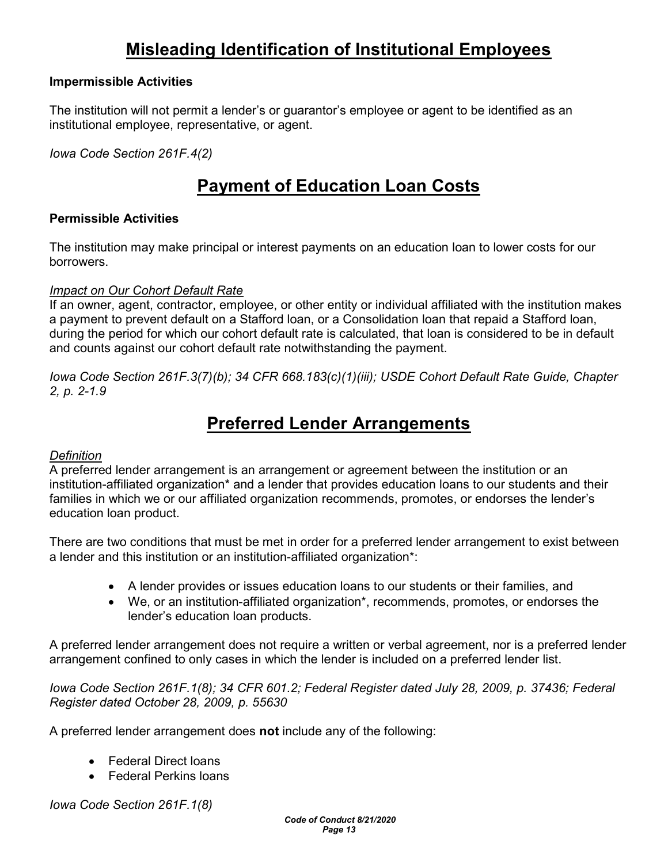# Misleading Identification of Institutional Employees

#### Impermissible Activities

The institution will not permit a lender's or guarantor's employee or agent to be identified as an institutional employee, representative, or agent.

Iowa Code Section 261F.4(2)

# Payment of Education Loan Costs

#### Permissible Activities

The institution may make principal or interest payments on an education loan to lower costs for our **borrowers** 

#### Impact on Our Cohort Default Rate

If an owner, agent, contractor, employee, or other entity or individual affiliated with the institution makes a payment to prevent default on a Stafford loan, or a Consolidation loan that repaid a Stafford loan, during the period for which our cohort default rate is calculated, that loan is considered to be in default and counts against our cohort default rate notwithstanding the payment.

Iowa Code Section 261F.3(7)(b); 34 CFR 668.183(c)(1)(iii); USDE Cohort Default Rate Guide, Chapter 2, p. 2-1.9

# Preferred Lender Arrangements

#### **Definition**

A preferred lender arrangement is an arrangement or agreement between the institution or an institution-affiliated organization\* and a lender that provides education loans to our students and their families in which we or our affiliated organization recommends, promotes, or endorses the lender's education loan product.

There are two conditions that must be met in order for a preferred lender arrangement to exist between a lender and this institution or an institution-affiliated organization\*:

- A lender provides or issues education loans to our students or their families, and
- We, or an institution-affiliated organization\*, recommends, promotes, or endorses the lender's education loan products.

A preferred lender arrangement does not require a written or verbal agreement, nor is a preferred lender arrangement confined to only cases in which the lender is included on a preferred lender list.

Iowa Code Section 261F.1(8); 34 CFR 601.2; Federal Register dated July 28, 2009, p. 37436; Federal Register dated October 28, 2009, p. 55630

A preferred lender arrangement does not include any of the following:

- Federal Direct loans
- Federal Perkins loans

Iowa Code Section 261F.1(8)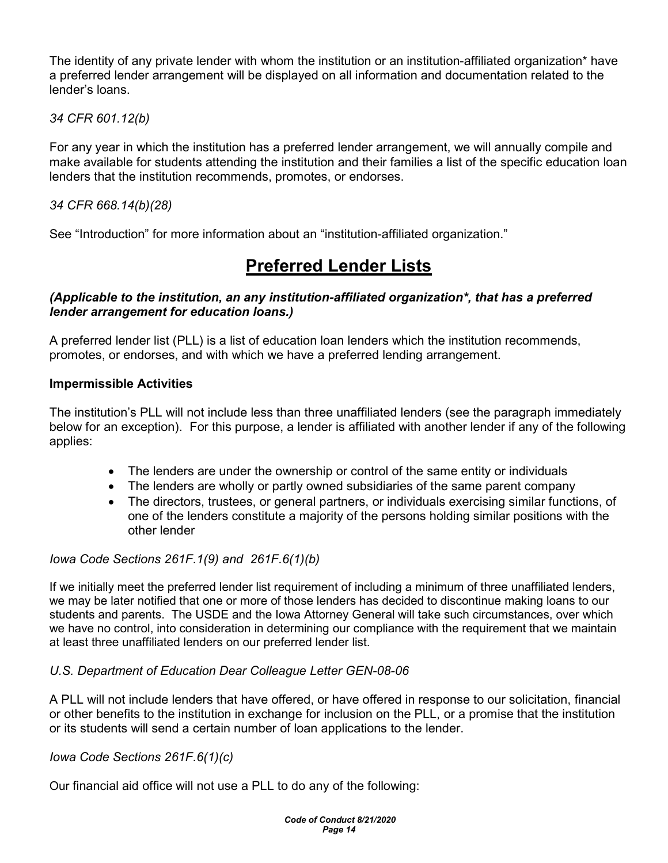The identity of any private lender with whom the institution or an institution-affiliated organization\* have a preferred lender arrangement will be displayed on all information and documentation related to the lender's loans.

34 CFR 601.12(b)

For any year in which the institution has a preferred lender arrangement, we will annually compile and make available for students attending the institution and their families a list of the specific education loan lenders that the institution recommends, promotes, or endorses.

34 CFR 668.14(b)(28)

See "Introduction" for more information about an "institution-affiliated organization."

# Preferred Lender Lists

### (Applicable to the institution, an any institution-affiliated organization\*, that has a preferred lender arrangement for education loans.)

A preferred lender list (PLL) is a list of education loan lenders which the institution recommends, promotes, or endorses, and with which we have a preferred lending arrangement.

### Impermissible Activities

The institution's PLL will not include less than three unaffiliated lenders (see the paragraph immediately below for an exception). For this purpose, a lender is affiliated with another lender if any of the following applies:

- The lenders are under the ownership or control of the same entity or individuals
- The lenders are wholly or partly owned subsidiaries of the same parent company
- The directors, trustees, or general partners, or individuals exercising similar functions, of one of the lenders constitute a majority of the persons holding similar positions with the other lender

### Iowa Code Sections 261F.1(9) and 261F.6(1)(b)

If we initially meet the preferred lender list requirement of including a minimum of three unaffiliated lenders, we may be later notified that one or more of those lenders has decided to discontinue making loans to our students and parents. The USDE and the Iowa Attorney General will take such circumstances, over which we have no control, into consideration in determining our compliance with the requirement that we maintain at least three unaffiliated lenders on our preferred lender list.

### U.S. Department of Education Dear Colleague Letter GEN-08-06

A PLL will not include lenders that have offered, or have offered in response to our solicitation, financial or other benefits to the institution in exchange for inclusion on the PLL, or a promise that the institution or its students will send a certain number of loan applications to the lender.

### Iowa Code Sections 261F.6(1)(c)

Our financial aid office will not use a PLL to do any of the following: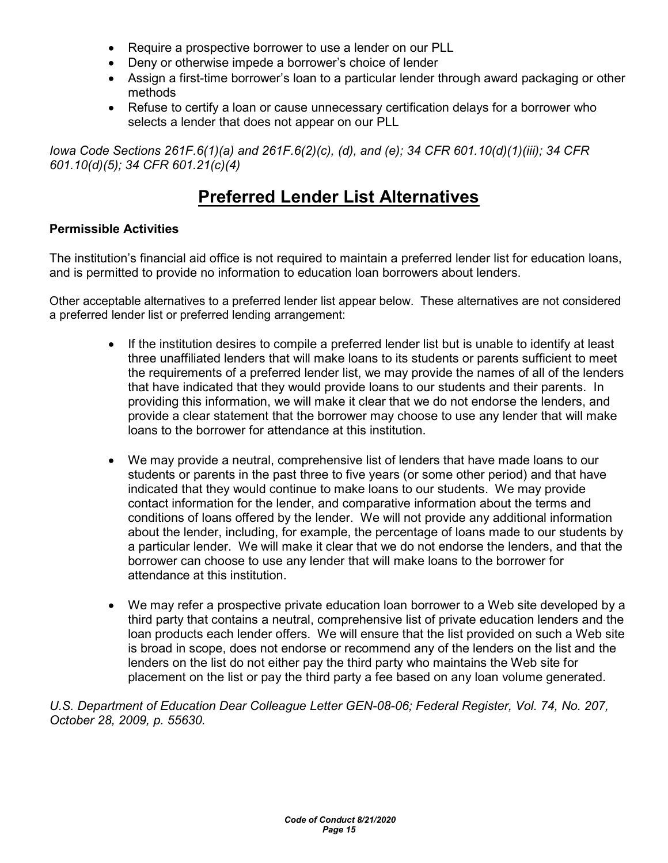- Require a prospective borrower to use a lender on our PLL
- Deny or otherwise impede a borrower's choice of lender
- Assign a first-time borrower's loan to a particular lender through award packaging or other methods
- Refuse to certify a loan or cause unnecessary certification delays for a borrower who selects a lender that does not appear on our PLL

Iowa Code Sections 261F.6(1)(a) and 261F.6(2)(c), (d), and (e); 34 CFR 601.10(d)(1)(iii); 34 CFR 601.10(d)(5); 34 CFR 601.21(c)(4)

# Preferred Lender List Alternatives

#### Permissible Activities

The institution's financial aid office is not required to maintain a preferred lender list for education loans, and is permitted to provide no information to education loan borrowers about lenders.

Other acceptable alternatives to a preferred lender list appear below. These alternatives are not considered a preferred lender list or preferred lending arrangement:

- If the institution desires to compile a preferred lender list but is unable to identify at least three unaffiliated lenders that will make loans to its students or parents sufficient to meet the requirements of a preferred lender list, we may provide the names of all of the lenders that have indicated that they would provide loans to our students and their parents. In providing this information, we will make it clear that we do not endorse the lenders, and provide a clear statement that the borrower may choose to use any lender that will make loans to the borrower for attendance at this institution.
- We may provide a neutral, comprehensive list of lenders that have made loans to our students or parents in the past three to five years (or some other period) and that have indicated that they would continue to make loans to our students. We may provide contact information for the lender, and comparative information about the terms and conditions of loans offered by the lender. We will not provide any additional information about the lender, including, for example, the percentage of loans made to our students by a particular lender. We will make it clear that we do not endorse the lenders, and that the borrower can choose to use any lender that will make loans to the borrower for attendance at this institution.
- We may refer a prospective private education loan borrower to a Web site developed by a third party that contains a neutral, comprehensive list of private education lenders and the loan products each lender offers. We will ensure that the list provided on such a Web site is broad in scope, does not endorse or recommend any of the lenders on the list and the lenders on the list do not either pay the third party who maintains the Web site for placement on the list or pay the third party a fee based on any loan volume generated.

U.S. Department of Education Dear Colleague Letter GEN-08-06; Federal Register, Vol. 74, No. 207, October 28, 2009, p. 55630.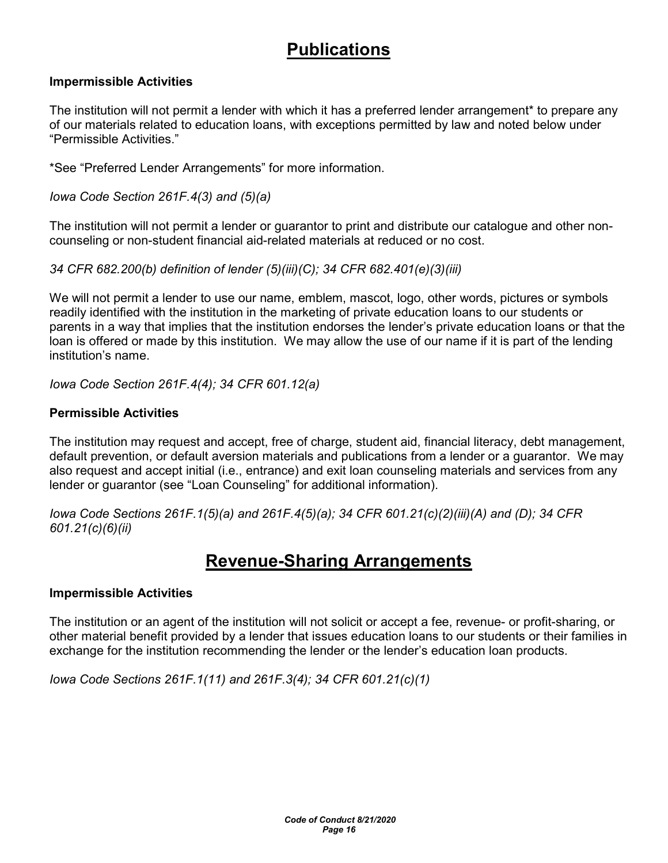# **Publications**

#### Impermissible Activities

The institution will not permit a lender with which it has a preferred lender arrangement\* to prepare any of our materials related to education loans, with exceptions permitted by law and noted below under "Permissible Activities."

\*See "Preferred Lender Arrangements" for more information.

Iowa Code Section 261F.4(3) and (5)(a)

The institution will not permit a lender or guarantor to print and distribute our catalogue and other noncounseling or non-student financial aid-related materials at reduced or no cost.

34 CFR 682.200(b) definition of lender (5)(iii)(C); 34 CFR 682.401(e)(3)(iii)

We will not permit a lender to use our name, emblem, mascot, logo, other words, pictures or symbols readily identified with the institution in the marketing of private education loans to our students or parents in a way that implies that the institution endorses the lender's private education loans or that the loan is offered or made by this institution. We may allow the use of our name if it is part of the lending institution's name.

Iowa Code Section 261F.4(4); 34 CFR 601.12(a)

#### Permissible Activities

The institution may request and accept, free of charge, student aid, financial literacy, debt management, default prevention, or default aversion materials and publications from a lender or a guarantor. We may also request and accept initial (i.e., entrance) and exit loan counseling materials and services from any lender or guarantor (see "Loan Counseling" for additional information).

Iowa Code Sections 261F.1(5)(a) and 261F.4(5)(a); 34 CFR 601.21(c)(2)(iii)(A) and (D); 34 CFR 601.21(c)(6)(ii)

# Revenue-Sharing Arrangements

#### Impermissible Activities

The institution or an agent of the institution will not solicit or accept a fee, revenue- or profit-sharing, or other material benefit provided by a lender that issues education loans to our students or their families in exchange for the institution recommending the lender or the lender's education loan products.

Iowa Code Sections 261F.1(11) and 261F.3(4); 34 CFR 601.21(c)(1)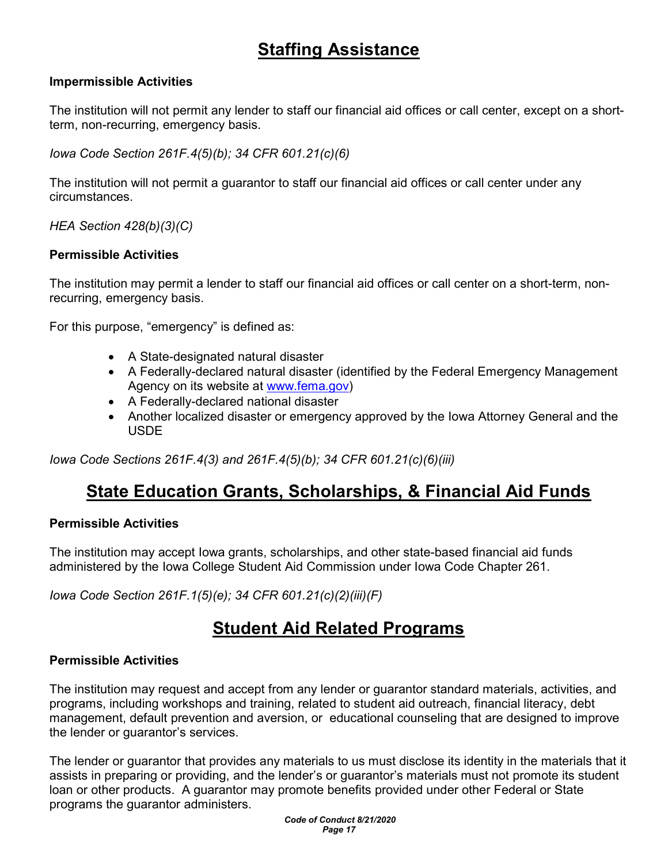# Staffing Assistance

#### Impermissible Activities

The institution will not permit any lender to staff our financial aid offices or call center, except on a shortterm, non-recurring, emergency basis.

Iowa Code Section 261F.4(5)(b); 34 CFR 601.21(c)(6)

The institution will not permit a guarantor to staff our financial aid offices or call center under any circumstances.

HEA Section 428(b)(3)(C)

#### Permissible Activities

The institution may permit a lender to staff our financial aid offices or call center on a short-term, nonrecurring, emergency basis.

For this purpose, "emergency" is defined as:

- A State-designated natural disaster
- A Federally-declared natural disaster (identified by the Federal Emergency Management Agency on its website at www.fema.gov)
- A Federally-declared national disaster
- Another localized disaster or emergency approved by the Iowa Attorney General and the USDE

Iowa Code Sections 261F.4(3) and 261F.4(5)(b); 34 CFR 601.21(c)(6)(iii)

# State Education Grants, Scholarships, & Financial Aid Funds

#### Permissible Activities

The institution may accept Iowa grants, scholarships, and other state-based financial aid funds administered by the Iowa College Student Aid Commission under Iowa Code Chapter 261.

Iowa Code Section 261F.1(5)(e); 34 CFR 601.21(c)(2)(iii)(F)

# Student Aid Related Programs

#### Permissible Activities

The institution may request and accept from any lender or guarantor standard materials, activities, and programs, including workshops and training, related to student aid outreach, financial literacy, debt management, default prevention and aversion, or educational counseling that are designed to improve the lender or guarantor's services.

The lender or guarantor that provides any materials to us must disclose its identity in the materials that it assists in preparing or providing, and the lender's or guarantor's materials must not promote its student loan or other products. A guarantor may promote benefits provided under other Federal or State programs the guarantor administers.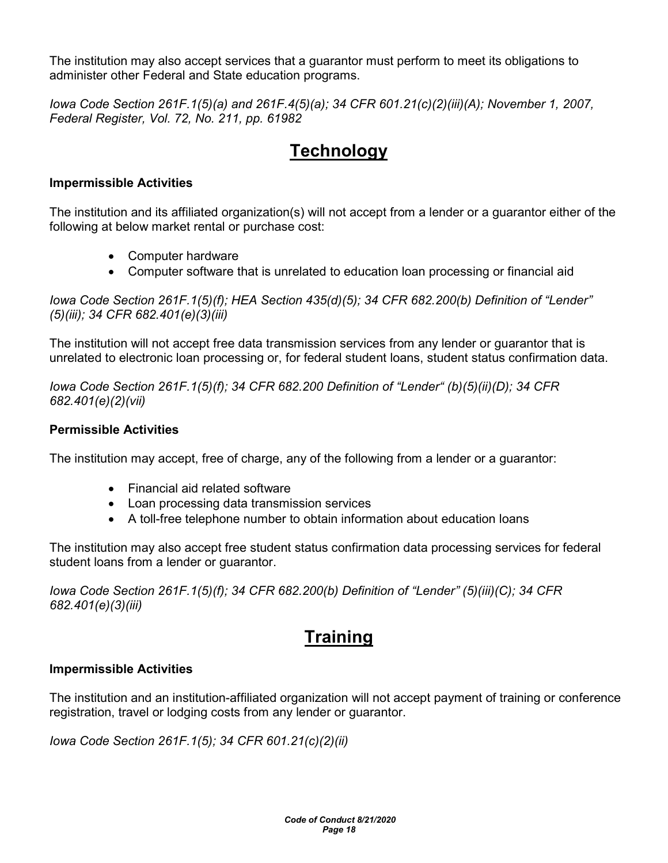The institution may also accept services that a guarantor must perform to meet its obligations to administer other Federal and State education programs.

Iowa Code Section 261F.1(5)(a) and 261F.4(5)(a); 34 CFR 601.21(c)(2)(iii)(A); November 1, 2007, Federal Register, Vol. 72, No. 211, pp. 61982

# **Technology**

#### Impermissible Activities

The institution and its affiliated organization(s) will not accept from a lender or a guarantor either of the following at below market rental or purchase cost:

- Computer hardware
- Computer software that is unrelated to education loan processing or financial aid

Iowa Code Section 261F.1(5)(f); HEA Section 435(d)(5); 34 CFR 682.200(b) Definition of "Lender" (5)(iii); 34 CFR 682.401(e)(3)(iii)

The institution will not accept free data transmission services from any lender or guarantor that is unrelated to electronic loan processing or, for federal student loans, student status confirmation data.

Iowa Code Section 261F.1(5)(f); 34 CFR 682.200 Definition of "Lender" (b)(5)(ii)(D); 34 CFR 682.401(e)(2)(vii)

#### Permissible Activities

The institution may accept, free of charge, any of the following from a lender or a guarantor:

- Financial aid related software
- Loan processing data transmission services
- A toll-free telephone number to obtain information about education loans

The institution may also accept free student status confirmation data processing services for federal student loans from a lender or guarantor.

Iowa Code Section 261F.1(5)(f); 34 CFR 682.200(b) Definition of "Lender" (5)(iii)(C); 34 CFR 682.401(e)(3)(iii)

# **Training**

#### Impermissible Activities

The institution and an institution-affiliated organization will not accept payment of training or conference registration, travel or lodging costs from any lender or guarantor.

Iowa Code Section 261F.1(5); 34 CFR 601.21(c)(2)(ii)